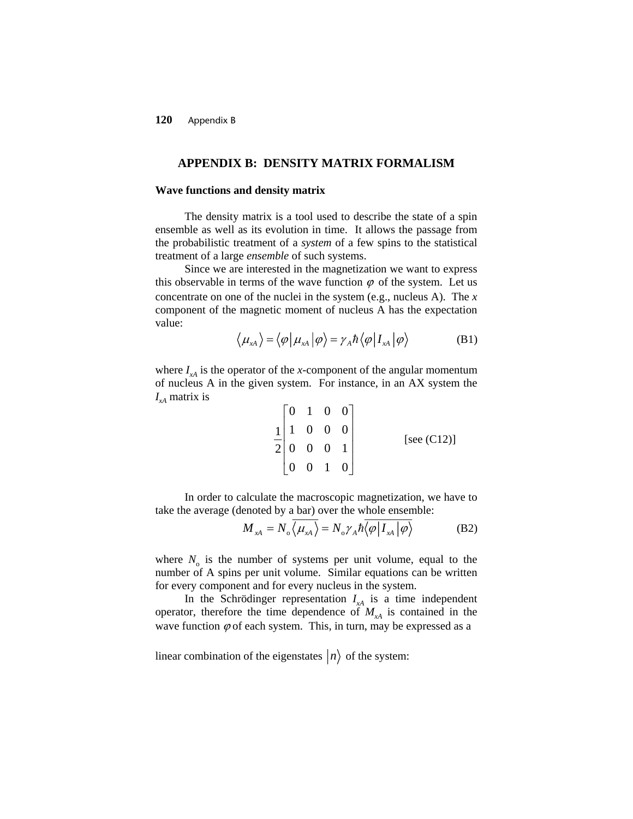### **APPENDIX B: DENSITY MATRIX FORMALISM**

#### **Wave functions and density matrix**

The density matrix is a tool used to describe the state of a spin ensemble as well as its evolution in time. It allows the passage from the probabilistic treatment of a *system* of a few spins to the statistical treatment of a large *ensemble* of such systems.

Since we are interested in the magnetization we want to express this observable in terms of the wave function  $\varphi$  of the system. Let us concentrate on one of the nuclei in the system (e.g., nucleus A). The *x* component of the magnetic moment of nucleus A has the expectation value:

$$
\langle \mu_{xA} \rangle = \langle \varphi | \mu_{xA} | \varphi \rangle = \gamma_A \hbar \langle \varphi | I_{xA} | \varphi \rangle \tag{B1}
$$

where  $I_{rA}$  is the operator of the *x*-component of the angular momentum of nucleus A in the given system. For instance, in an AX system the  $I_{A}$  matrix is

$$
\frac{1}{2} \begin{bmatrix} 0 & 1 & 0 & 0 \\ 1 & 0 & 0 & 0 \\ 0 & 0 & 0 & 1 \\ 0 & 0 & 1 & 0 \end{bmatrix}
$$
 [see (C12)]

In order to calculate the macroscopic magnetization, we have to take the average (denoted by a bar) over the whole ensemble:

$$
M_{xA} = N_o \overline{\langle \mu_{xA} \rangle} = N_o \gamma_A \hbar \overline{\langle \varphi | I_{xA} | \varphi \rangle}
$$
 (B2)

where  $N_0$  is the number of systems per unit volume, equal to the number of A spins per unit volume. Similar equations can be written for every component and for every nucleus in the system.

In the Schrödinger representation  $I_{xA}$  is a time independent operator, therefore the time dependence of  $M_{\rm xA}$  is contained in the wave function  $\varphi$  of each system. This, in turn, may be expressed as a

linear combination of the eigenstates  $|n\rangle$  of the system: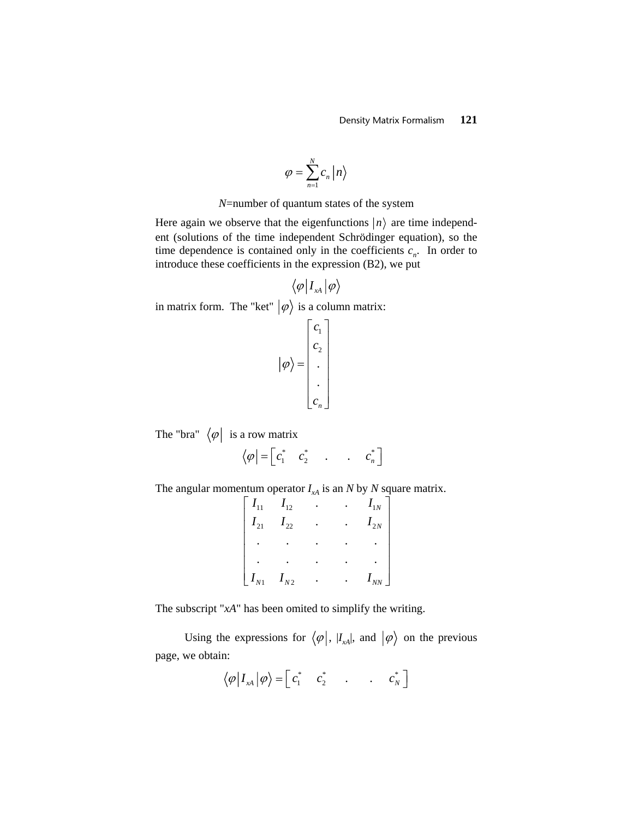$$
\varphi = \sum_{n=1}^N c_n \, \big| n \big\rangle
$$

*N*=number of quantum states of the system

Here again we observe that the eigenfunctions  $|n\rangle$  are time independent (solutions of the time independent Schrödinger equation), so the time dependence is contained only in the coefficients  $c_n$ . In order to introduce these coefficients in the expression (B2), we put

$$
\big\langle \varphi\big| I_{_{X\!A}} \big|\varphi\big\rangle
$$

in matrix form. The "ket"  $|\varphi\rangle$  is a column matrix:

$$
\left| \varphi \right\rangle = \begin{bmatrix} c_1 \\ c_2 \\ \vdots \\ c_n \end{bmatrix}
$$

The "bra"  $\langle \varphi |$  is a row matrix

$$
\left\langle \varphi\right| = \begin{bmatrix} c_1^* & c_2^* & \dots & c_n^* \end{bmatrix}
$$

The angular momentum operator  $I_{xA}$  is an *N* by *N* square matrix.

| $I_{11}$         | $I_{12}$ |  | $I_{1N}$ |
|------------------|----------|--|----------|
| $I_{21}$         | $I_{22}$ |  | $I_{2N}$ |
|                  |          |  |          |
|                  |          |  |          |
| $\lfloor I_{N1}$ | $I_{N2}$ |  | $I_{NN}$ |

The subscript "*xA*" has been omited to simplify the writing.

Using the expressions for  $\langle \varphi |, |I_{xA}|, \text{ and } |\varphi \rangle$  on the previous page, we obtain:

$$
\langle \varphi | I_{xA} | \varphi \rangle = \begin{bmatrix} c_1^* & c_2^* & \dots & c_N^* \end{bmatrix}
$$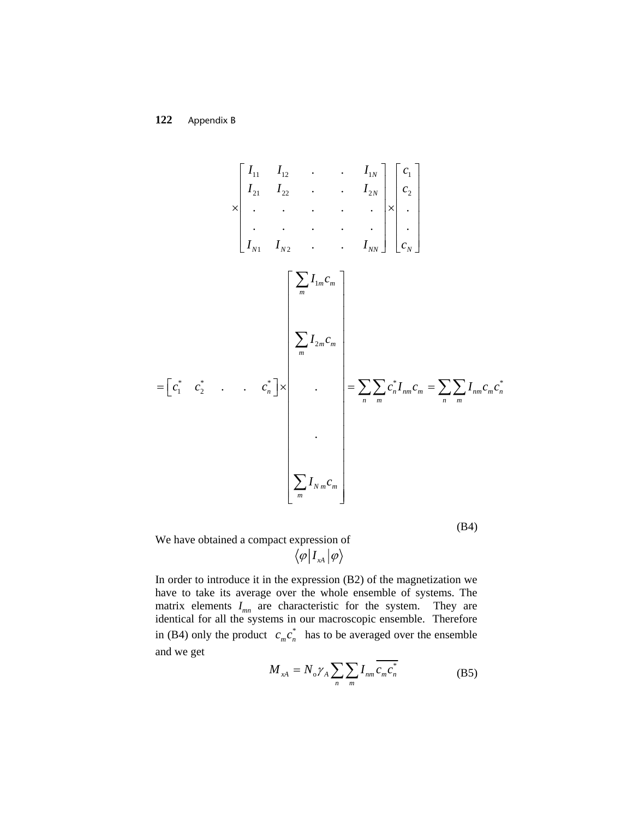11 12 1 1 21 22 2 2 1 2 . . . . ..... . ..... . . . *N N N N NN N I I I c I I I c I I I* ⎡ ⎤ ⎢ ⎥ × × ⎣ ⎦ *c* ⎡ ⎤ ⎢ ⎥ ⎢ ⎥ ⎢ ⎥ ⎢ ⎥ ⎢ ⎥ ⎢ ⎥ ⎣ ⎦ \* *nm m n* 1 2 \* \* \* \* 1 2 . . . . *m m m m m m n n nm m n m n m N m m m I c I c c c c c I c I c c I c* ⎡ ⎤ ⎢ ⎥ ⎢ ⎥ ⎢ ⎥ ⎢ ⎥ ⎢ ⎥ ⎢ ⎥ ⎢ ⎥ ⎢ ⎥ = × ⎡ ⎤ ⎢ ⎥ <sup>=</sup> <sup>=</sup> ⎣ ⎦ ⎢ ⎥ ⎢ ⎥ ⎢ ⎥ ⎢ ⎥ ⎢ ⎥ ⎢ ⎥ ⎢ ⎥ ⎢ ⎥ ⎢ ⎥ ⎣ ⎦ ∑ ∑ ∑∑ ∑∑ ∑

(B4)

We have obtained a compact expression of  $\langle \varphi | I_{\scriptscriptstyle \chi A} | \varphi \rangle$ 

In order to introduce it in the expression (B2) of the magnetization we have to take its average over the whole ensemble of systems. The matrix elements *Imn* are characteristic for the system. They are identical for all the systems in our macroscopic ensemble. Therefore in (B4) only the product  $c_m c_n^*$  has to be averaged over the ensemble and we get

$$
M_{\scriptscriptstyle xA} = N_{\scriptscriptstyle 0} \gamma_A \sum_{n} \sum_{m} I_{nm} \overline{c_m} \overline{c_n^*}
$$
 (B5)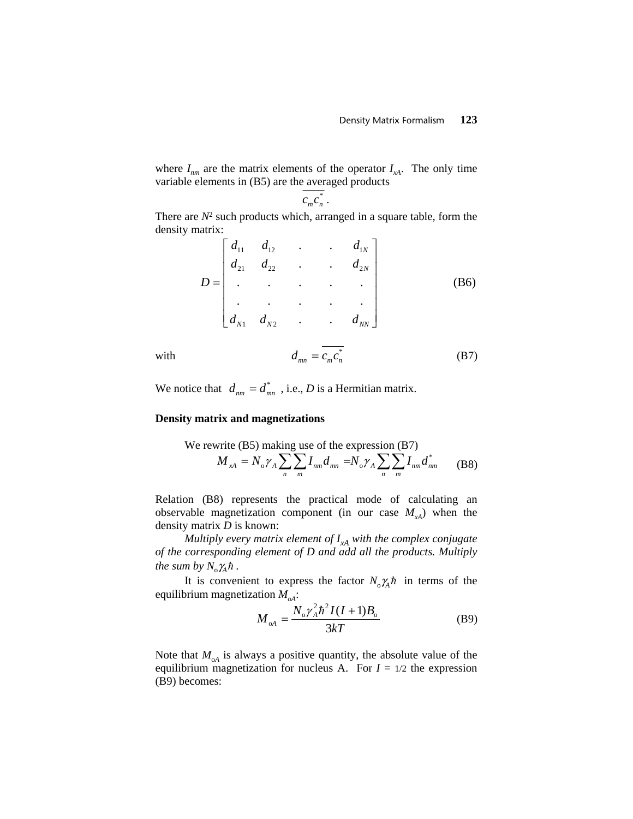where  $I_{nm}$  are the matrix elements of the operator  $I_{xA}$ . The only time variable elements in (B5) are the averaged products

$$
c_m c_n^*.
$$

There are  $N^2$  such products which, arranged in a square table, form the density matrix:

$$
D = \begin{bmatrix} d_{11} & d_{12} & \cdots & d_{1N} \\ d_{21} & d_{22} & \cdots & d_{2N} \\ \vdots & \vdots & \ddots & \vdots \\ d_{N1} & d_{N2} & \cdots & d_{NN} \end{bmatrix}
$$
 (B6)

with 
$$
d_{mn} = \overline{c_m c_n^*}
$$
 (B7)

We notice that  $d_{nm} = d_{mn}^*$ , i.e., *D* is a Hermitian matrix.

### **Density matrix and magnetizations**

We rewrite (B5) making use of the expression (B7)  
\n
$$
M_{xA} = N_o \gamma_A \sum_{n} \sum_{m} I_{nm} d_{mn} = N_o \gamma_A \sum_{n} \sum_{m} I_{nm} d_{nm}^*
$$
\n(B8)

Relation (B8) represents the practical mode of calculating an observable magnetization component (in our case  $M_{xA}$ ) when the density matrix *D* is known:

*Multiply every matrix element of*  $I_{xA}$  with the complex conjugate *of the corresponding element of D and add all the products. Multiply the sum by*  $N_{\rm o} \gamma_{\rm A} \hbar$ .

It is convenient to express the factor  $N_0\chi_h h$  in terms of the equilibrium magnetization  $M_{oA}$ :

$$
M_{\rm od} = \frac{N_{\rm o} \gamma_{\rm A}^2 \hbar^2 I (I + 1) B_{\rm o}}{3kT}
$$
 (B9)

Note that  $M_{\alpha A}$  is always a positive quantity, the absolute value of the equilibrium magnetization for nucleus A. For  $I = 1/2$  the expression (B9) becomes: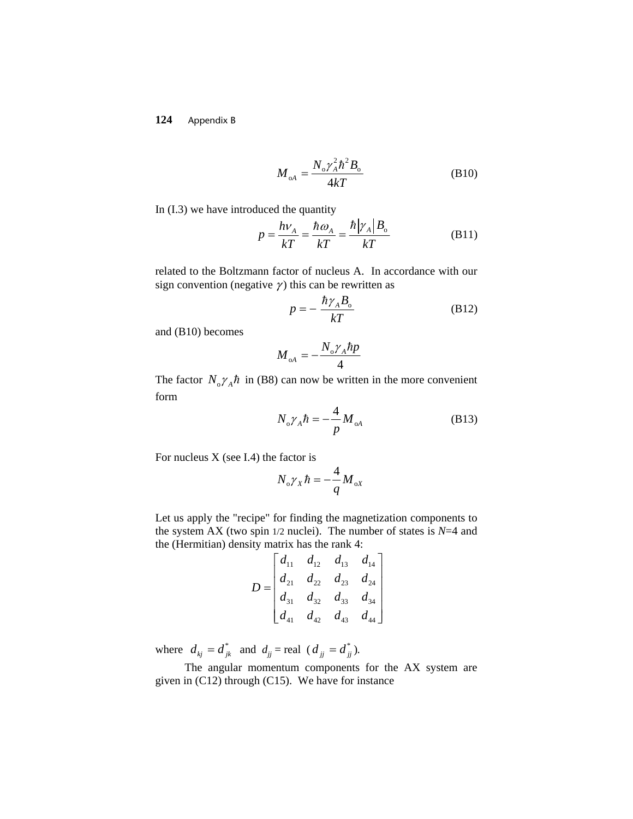$$
M_{\rm oA} = \frac{N_{\rm o} \gamma_{\rm A}^2 \hbar^2 B_{\rm o}}{4kT}
$$
 (B10)

In (I.3) we have introduced the quantity

$$
p = \frac{h\nu_A}{kT} = \frac{\hbar \omega_A}{kT} = \frac{\hbar |\gamma_A| B_o}{kT}
$$
(B11)

related to the Boltzmann factor of nucleus A. In accordance with our sign convention (negative  $\gamma$ ) this can be rewritten as

$$
p = -\frac{\hbar \gamma_A B_o}{kT}
$$
 (B12)

and (B10) becomes

$$
{\displaystyle M_{_{\rm oA}}=-\frac{N_{_{\rm o}}\gamma_{_{A}}\hbar p}{4}}
$$

The factor  $N_0 \gamma_A \hbar$  in (B8) can now be written in the more convenient form

$$
N_o \gamma_A \hbar = -\frac{4}{p} M_{oA} \tag{B13}
$$

For nucleus  $X$  (see I.4) the factor is

$$
N_{\rm o} \gamma_{\rm x} \hbar = -\frac{4}{q} M_{\rm oX}
$$

Let us apply the "recipe" for finding the magnetization components to the system AX (two spin  $1/2$  nuclei). The number of states is  $N=4$  and the (Hermitian) density matrix has the rank 4:

$$
D = \begin{bmatrix} d_{11} & d_{12} & d_{13} & d_{14} \\ d_{21} & d_{22} & d_{23} & d_{24} \\ d_{31} & d_{32} & d_{33} & d_{34} \\ d_{41} & d_{42} & d_{43} & d_{44} \end{bmatrix}
$$

where  $d_{kj} = d_{jk}^{*}$  and  $d_{jj} = \text{real} (d_{jj} = d_{jj}^{*}).$ 

The angular momentum components for the AX system are given in (C12) through (C15). We have for instance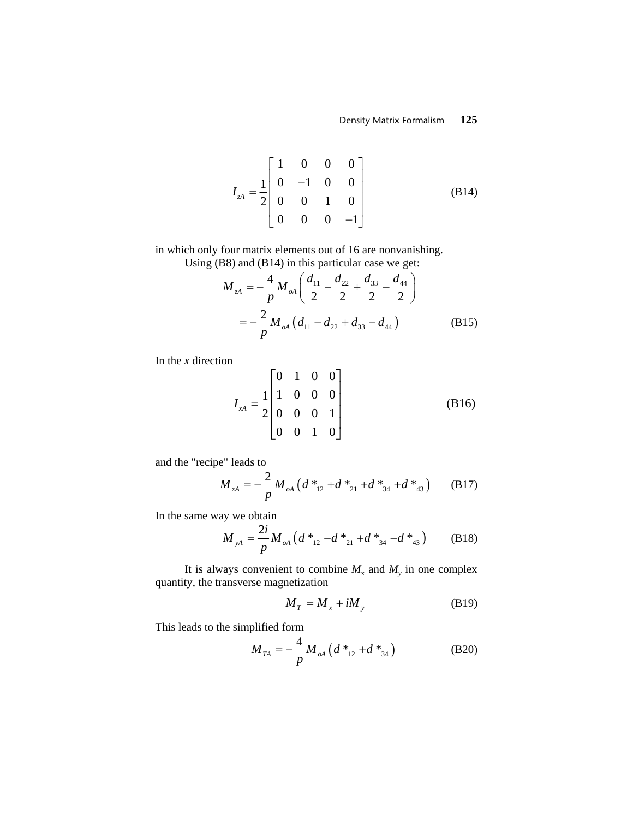$$
I_{zA} = \frac{1}{2} \begin{bmatrix} 1 & 0 & 0 & 0 \\ 0 & -1 & 0 & 0 \\ 0 & 0 & 1 & 0 \\ 0 & 0 & 0 & -1 \end{bmatrix}
$$
 (B14)

in which only four matrix elements out of 16 are nonvanishing.

Using (B8) and (B14) in this particular case we get:

$$
M_{zA} = -\frac{4}{p} M_{oA} \left( \frac{d_{11}}{2} - \frac{d_{22}}{2} + \frac{d_{33}}{2} - \frac{d_{44}}{2} \right)
$$
  
= 
$$
-\frac{2}{p} M_{oA} \left( d_{11} - d_{22} + d_{33} - d_{44} \right)
$$
(B15)

In the *x* direction

$$
I_{xA} = \frac{1}{2} \begin{bmatrix} 0 & 1 & 0 & 0 \\ 1 & 0 & 0 & 0 \\ 0 & 0 & 0 & 1 \\ 0 & 0 & 1 & 0 \end{bmatrix}
$$
 (B16)

and the "recipe" leads to

$$
M_{xA} = -\frac{2}{p} M_{oA} \left( d^*_{12} + d^*_{21} + d^*_{34} + d^*_{43} \right) \tag{B17}
$$

In the same way we obtain

$$
M_{yA} = \frac{2i}{p} M_{oA} \left( d \ast_{12} -d \ast_{21} +d \ast_{34} -d \ast_{43} \right) \tag{B18}
$$

It is always convenient to combine  $M_x$  and  $M_y$  in one complex quantity, the transverse magnetization

$$
M_T = M_x + iM_y \tag{B19}
$$

This leads to the simplified form

$$
M_{TA} = -\frac{4}{p} M_{oA} \left( d^*_{12} + d^*_{34} \right)
$$
 (B20)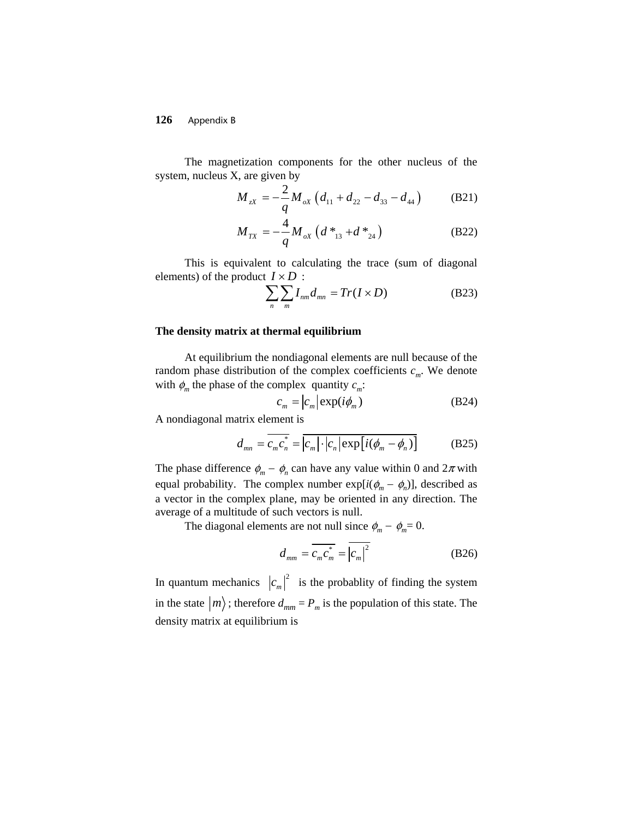The magnetization components for the other nucleus of the system, nucleus X, are given by

$$
M_{zx} = -\frac{2}{q} M_{ox} \left( d_{11} + d_{22} - d_{33} - d_{44} \right)
$$
 (B21)

$$
M_{TX} = -\frac{4}{q} M_{ox} \left( d_{13}^* + d_{24}^* \right) \tag{B22}
$$

This is equivalent to calculating the trace (sum of diagonal elements) of the product  $I \times D$ :

$$
\sum_{n} \sum_{m} I_{nm} d_{mn} = Tr(I \times D) \tag{B23}
$$

## **The density matrix at thermal equilibrium**

At equilibrium the nondiagonal elements are null because of the random phase distribution of the complex coefficients  $c_m$ . We denote with  $\phi_m$  the phase of the complex quantity  $c_m$ :

$$
c_m = |c_m| \exp(i\phi_m)
$$
 (B24)

A nondiagonal matrix element is

$$
d_{mn} = \overline{c_m c_n^*} = \overline{|c_m| \cdot |c_n|} \exp[i(\phi_m - \phi_n)] \tag{B25}
$$

The phase difference  $\phi_m - \phi_n$  can have any value within 0 and  $2\pi$  with equal probability. The complex number  $exp[i(\phi_m - \phi_n)]$ , described as a vector in the complex plane, may be oriented in any direction. The average of a multitude of such vectors is null.

The diagonal elements are not null since  $\phi_m - \phi_m = 0$ .

$$
d_{mm} = \overline{c_m^* c_m^*} = \overline{|c_m|^2}
$$
 (B26)

In quantum mechanics  $|c_m|^2$  is the probablity of finding the system in the state  $|m\rangle$ ; therefore  $d_{mm} = P_m$  is the population of this state. The density matrix at equilibrium is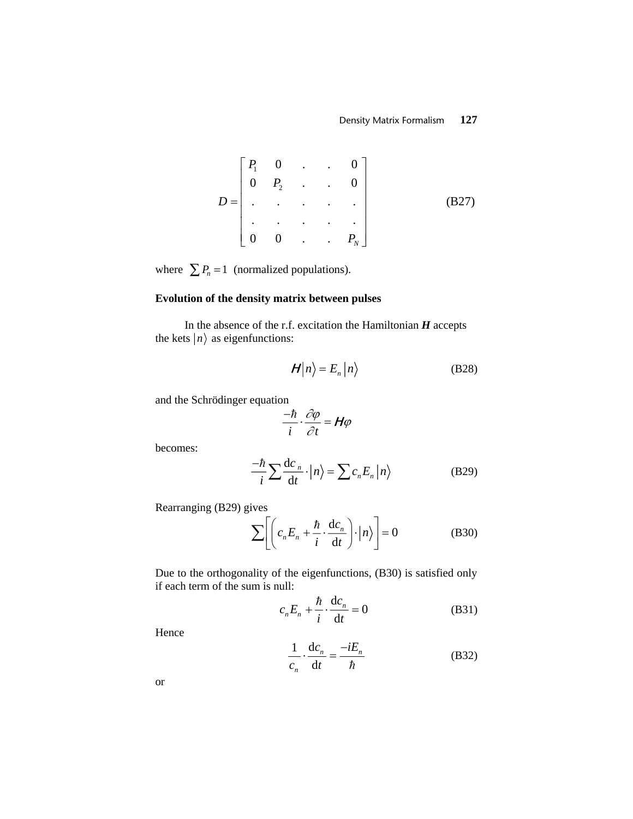$$
D = \begin{bmatrix} P_1 & 0 & \cdots & 0 \\ 0 & P_2 & \cdots & 0 \\ \vdots & \vdots & \ddots & \vdots \\ 0 & 0 & \cdots & P_N \end{bmatrix}
$$
 (B27)

where  $\sum P_n = 1$  (normalized populations).

# **Evolution of the density matrix between pulses**

In the absence of the r.f. excitation the Hamiltonian *H* accepts the kets  $|n\rangle$  as eigenfunctions:

$$
\mathcal{H}|n\rangle = E_n|n\rangle \tag{B28}
$$

and the Schrödinger equation

$$
\frac{-\hbar}{i} \cdot \frac{\partial \varphi}{\partial t} = H\varphi
$$

becomes:

$$
\frac{-\hbar}{i} \sum \frac{\mathrm{d}c_n}{\mathrm{d}t} \cdot \left| n \right\rangle = \sum c_n E_n \left| n \right\rangle \tag{B29}
$$

Rearranging (B29) gives

$$
\sum \left[ \left( c_n E_n + \frac{\hbar}{i} \cdot \frac{d c_n}{dt} \right) \cdot \left| n \right> \right] = 0 \tag{B30}
$$

Due to the orthogonality of the eigenfunctions, (B30) is satisfied only if each term of the sum is null:

$$
c_n E_n + \frac{\hbar}{i} \cdot \frac{\mathrm{d}c_n}{\mathrm{d}t} = 0 \tag{B31}
$$

Hence

$$
\frac{1}{c_n} \cdot \frac{dc_n}{dt} = \frac{-iE_n}{\hbar}
$$
 (B32)

or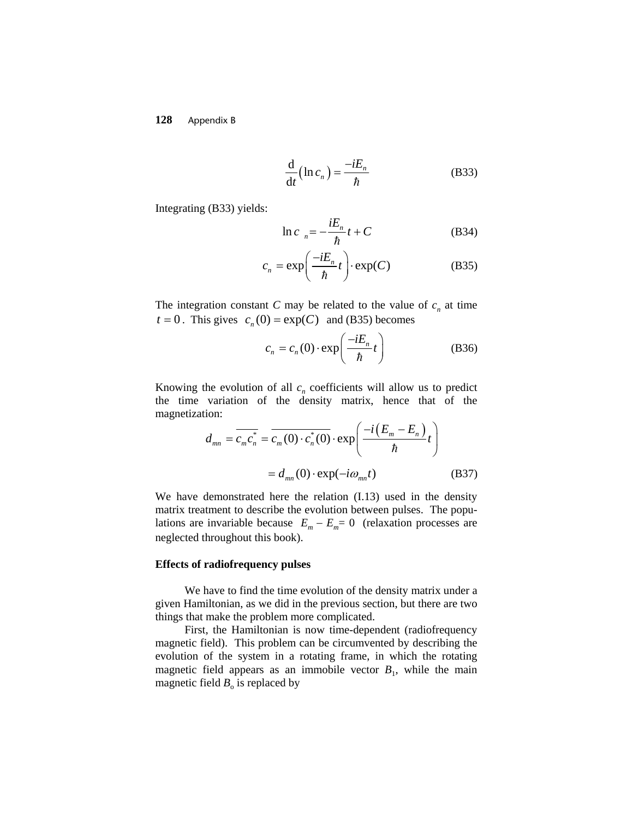$$
\frac{\mathrm{d}}{\mathrm{d}t} \left( \ln c_n \right) = \frac{-iE_n}{\hbar} \tag{B33}
$$

Integrating (B33) yields:

$$
\ln c_n = -\frac{iE_n}{\hbar}t + C
$$
 (B34)

$$
c_n = \exp\left(\frac{-iE_n}{\hbar}t\right) \cdot \exp(C) \tag{B35}
$$

 $t = 0$ . This gives  $c_n(0) = \exp(C)$  and (B35) becomes The integration constant *C* may be related to the value of  $c_n$  at time

$$
c_n = c_n(0) \cdot \exp\left(\frac{-iE_n}{\hbar}t\right) \tag{B36}
$$

Knowing the evolution of all  $c_n$  coefficients will allow us to predict the time variation of the density matrix, hence that of the magnetization:

$$
d_{mn} = \overline{c_m c_n^*} = \overline{c_m(0) \cdot c_n^*(0)} \cdot \exp\left(\frac{-i(E_m - E_n)}{\hbar}t\right)
$$

$$
= d_{mn}(0) \cdot \exp(-i\omega_{mn}t)
$$
(B37)

We have demonstrated here the relation (I.13) used in the density matrix treatment to describe the evolution between pulses. The populations are invariable because  $E_m - E_m = 0$  (relaxation processes are neglected throughout this book).

### **Effects of radiofrequency pulses**

We have to find the time evolution of the density matrix under a given Hamiltonian, as we did in the previous section, but there are two things that make the problem more complicated.

First, the Hamiltonian is now time-dependent (radiofrequency magnetic field). This problem can be circumvented by describing the evolution of the system in a rotating frame, in which the rotating magnetic field appears as an immobile vector  $B_1$ , while the main magnetic field  $B_0$  is replaced by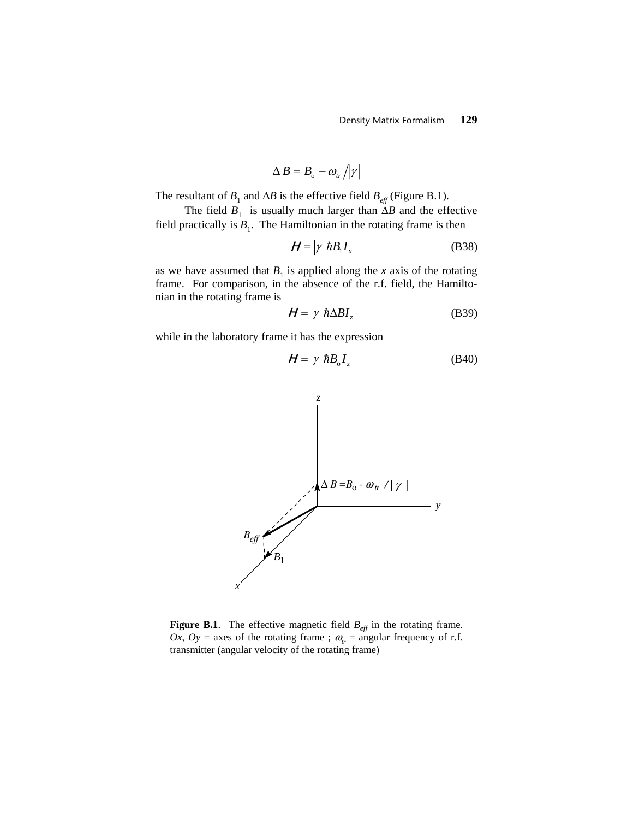$$
\Delta B = B_{\rm o} - \omega_{tr} / |\gamma|
$$

The resultant of  $B_1$  and  $\Delta B$  is the effective field  $B_{\text{eff}}$  (Figure B.1).

The field  $B_1$  is usually much larger than  $\Delta B$  and the effective field practically is  $B_1$ . The Hamiltonian in the rotating frame is then

$$
\mathbf{H} = |\gamma| \hbar B_1 I_x \tag{B38}
$$

as we have assumed that  $B_1$  is applied along the *x* axis of the rotating frame. For comparison, in the absence of the r.f. field, the Hamiltonian in the rotating frame is

$$
\mathbf{H} = |\gamma| \hbar \Delta B I_z \tag{B39}
$$

while in the laboratory frame it has the expression

$$
\boldsymbol{H} = |\gamma| \hbar B_{\rm o} I_z \tag{B40}
$$



**Figure B.1**. The effective magnetic field  $B_{\text{eff}}$  in the rotating frame. *Ox*, *Oy* = axes of the rotating frame ;  $\omega_r = \text{angular frequency of r.f.}$ transmitter (angular velocity of the rotating frame)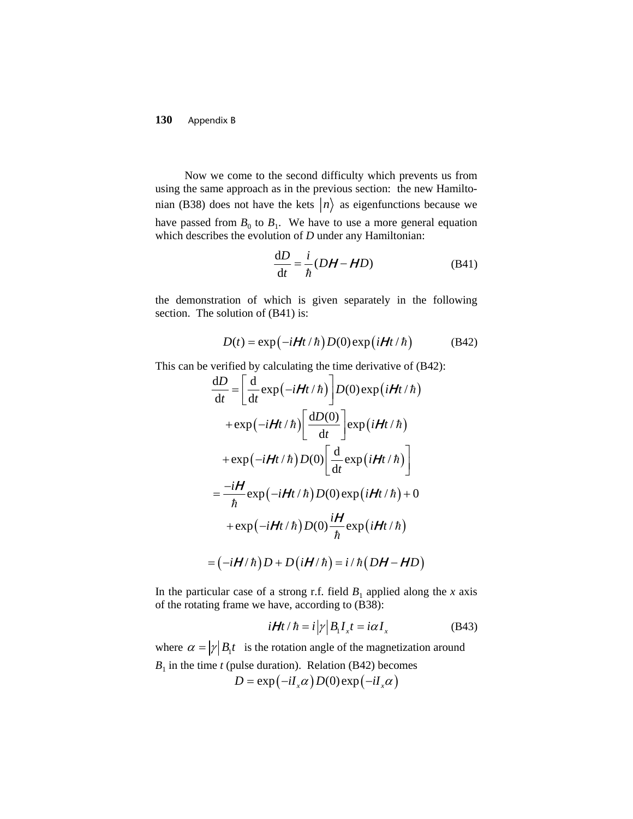Now we come to the second difficulty which prevents us from using the same approach as in the previous section: the new Hamiltonian (B38) does not have the kets  $|n\rangle$  as eigenfunctions because we have passed from  $B_0$  to  $B_1$ . We have to use a more general equation which describes the evolution of *D* under any Hamiltonian:

$$
\frac{\mathrm{d}D}{\mathrm{d}t} = \frac{i}{\hbar} (DH - HD) \tag{B41}
$$

the demonstration of which is given separately in the following section. The solution of  $(B41)$  is:

$$
D(t) = \exp(-i\mathbf{H}t/\hbar)D(0)\exp(i\mathbf{H}t/\hbar)
$$
 (B42)

This can be verified by calculating the time derivative of (B42):

$$
\frac{dD}{dt} = \left[\frac{d}{dt} \exp(-iHt/\hbar)\right] D(0) \exp(iHt/\hbar)
$$
\n
$$
+ \exp(-iHt/\hbar)\left[\frac{dD(0)}{dt}\right] \exp(iHt/\hbar)
$$
\n
$$
+ \exp(-iHt/\hbar)D(0) \left[\frac{d}{dt} \exp(iHt/\hbar)\right]
$$
\n
$$
= \frac{-iH}{\hbar} \exp(-iHt/\hbar)D(0) \exp(iHt/\hbar) + 0
$$
\n
$$
+ \exp(-iHt/\hbar)D(0) \frac{iH}{\hbar} \exp(iHt/\hbar)
$$
\n
$$
= (-iH/\hbar)D + D(iH/\hbar) = i/\hbar(DH - HD)
$$

In the particular case of a strong r.f. field  $B_1$  applied along the *x* axis of the rotating frame we have, according to (B38):

$$
i\boldsymbol{H}t/\hbar = i\left|\gamma\right|B_{1}I_{x}t = i\alpha I_{x}
$$
\n(B43)

where  $\alpha = |\gamma| B_1 t$  is the rotation angle of the magnetization around  $B_1$  in the time *t* (pulse duration). Relation (B42) becomes  $D = \exp(-iI_x \alpha) D(0) \exp(-iI_x \alpha)$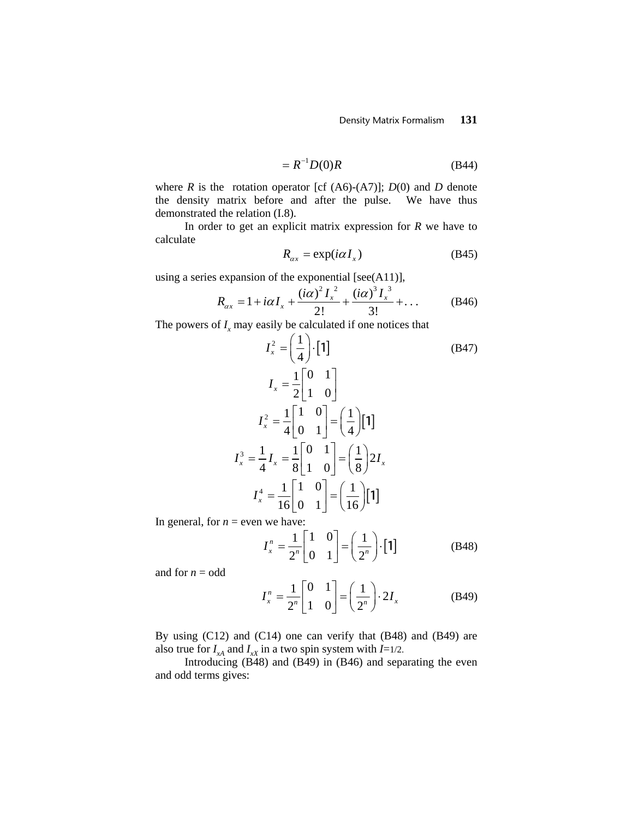$$
=R^{-1}D(0)R
$$
 (B44)

where *R* is the rotation operator [cf  $(A6)-(A7)$ ]; *D*(0) and *D* denote the density matrix before and after the pulse. We have thus demonstrated the relation (I.8).

In order to get an explicit matrix expression for *R* we have to calculate

$$
R_{\alpha x} = \exp(i\alpha I_x) \tag{B45}
$$

using a series expansion of the exponential [see(A11)],

$$
R_{\alpha x} = 1 + i\alpha I_x + \frac{(i\alpha)^2 I_x^2}{2!} + \frac{(i\alpha)^3 I_x^3}{3!} + \dots
$$
 (B46)

The powers of  $I_x$  may easily be calculated if one notices that

$$
I_x^2 = \left(\frac{1}{4}\right) \cdot \begin{bmatrix} 1 \end{bmatrix}
$$
\n
$$
I_x = \frac{1}{2} \begin{bmatrix} 0 & 1 \\ 1 & 0 \end{bmatrix}
$$
\n
$$
I_x^2 = \frac{1}{4} \begin{bmatrix} 1 & 0 \\ 0 & 1 \end{bmatrix} = \left(\frac{1}{4}\right) \begin{bmatrix} 1 \end{bmatrix}
$$
\n
$$
I_x^3 = \frac{1}{4} I_x = \frac{1}{8} \begin{bmatrix} 0 & 1 \\ 1 & 0 \end{bmatrix} = \left(\frac{1}{8}\right) 2 I_x
$$
\n
$$
I_x^4 = \frac{1}{16} \begin{bmatrix} 1 & 0 \\ 0 & 1 \end{bmatrix} = \left(\frac{1}{16}\right) \begin{bmatrix} 1 \end{bmatrix}
$$

In general, for  $n =$  even we have:

$$
I_x^n = \frac{1}{2^n} \begin{bmatrix} 1 & 0 \\ 0 & 1 \end{bmatrix} = \left(\frac{1}{2^n}\right) \cdot \begin{bmatrix} 1 \end{bmatrix}
$$
 (B48)

and for  $n =$  odd

$$
I_x^n = \frac{1}{2^n} \begin{bmatrix} 0 & 1 \\ 1 & 0 \end{bmatrix} = \left(\frac{1}{2^n}\right) \cdot 2I_x \tag{B49}
$$

By using (C12) and (C14) one can verify that (B48) and (B49) are also true for  $I_{xA}$  and  $I_{xX}$  in a two spin system with  $I=1/2$ .

Introducing (B48) and (B49) in (B46) and separating the even and odd terms gives: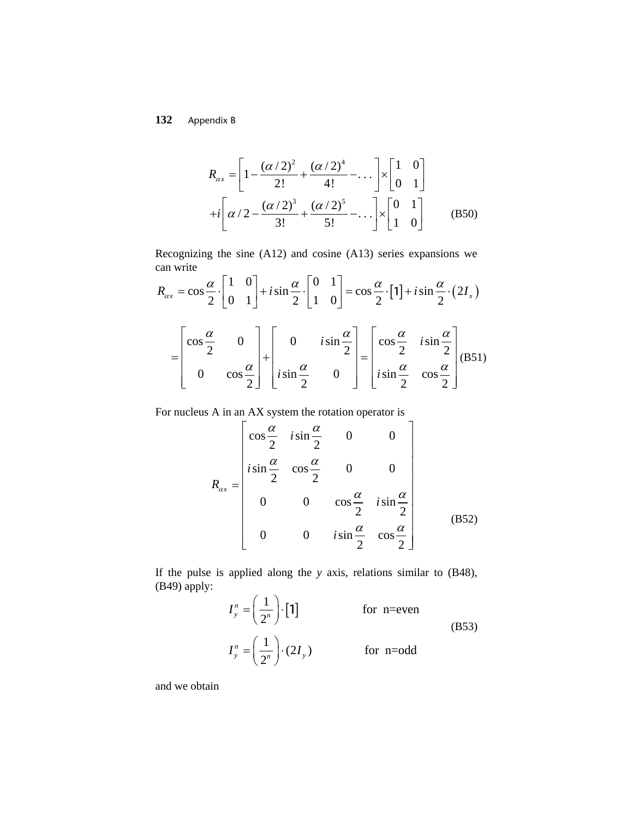$$
R_{\alpha x} = \left[1 - \frac{(\alpha/2)^2}{2!} + \frac{(\alpha/2)^4}{4!} - \dots\right] \times \left[\begin{array}{cc} 1 & 0 \\ 0 & 1 \end{array}\right]
$$
  
+*i*  $\left[\alpha/2 - \frac{(\alpha/2)^3}{3!} + \frac{(\alpha/2)^5}{5!} - \dots\right] \times \left[\begin{array}{cc} 0 & 1 \\ 1 & 0 \end{array}\right]$  (B50)

Recognizing the sine (A12) and cosine (A13) series expansions we can write

$$
R_{\alpha x} = \cos\frac{\alpha}{2} \cdot \begin{bmatrix} 1 & 0 \\ 0 & 1 \end{bmatrix} + i\sin\frac{\alpha}{2} \cdot \begin{bmatrix} 0 & 1 \\ 1 & 0 \end{bmatrix} = \cos\frac{\alpha}{2} \cdot \begin{bmatrix} 1 \end{bmatrix} + i\sin\frac{\alpha}{2} \cdot (2I_x)
$$

$$
= \begin{bmatrix} \cos\frac{\alpha}{2} & 0 \\ 0 & \cos\frac{\alpha}{2} \end{bmatrix} + \begin{bmatrix} 0 & i\sin\frac{\alpha}{2} \\ i\sin\frac{\alpha}{2} & 0 \end{bmatrix} = \begin{bmatrix} \cos\frac{\alpha}{2} & i\sin\frac{\alpha}{2} \\ i\sin\frac{\alpha}{2} & \cos\frac{\alpha}{2} \end{bmatrix} (B51)
$$

For nucleus A in an AX system the rotation operator is

$$
R_{\alpha x} = \begin{bmatrix} \cos\frac{\alpha}{2} & i\sin\frac{\alpha}{2} & 0 & 0 \\ i\sin\frac{\alpha}{2} & \cos\frac{\alpha}{2} & 0 & 0 \\ 0 & 0 & \cos\frac{\alpha}{2} & i\sin\frac{\alpha}{2} \\ 0 & 0 & i\sin\frac{\alpha}{2} & \cos\frac{\alpha}{2} \end{bmatrix}
$$
 (B52)

If the pulse is applied along the *y* axis, relations similar to (B48), (B49) apply:

$$
I_{y}^{n} = \left(\frac{1}{2^{n}}\right) \cdot \begin{bmatrix}1\end{bmatrix} \qquad \text{for n=even}
$$
\n
$$
I_{y}^{n} = \left(\frac{1}{2^{n}}\right) \cdot (2I_{y}) \qquad \text{for n=odd}
$$
\n(B53)

and we obtain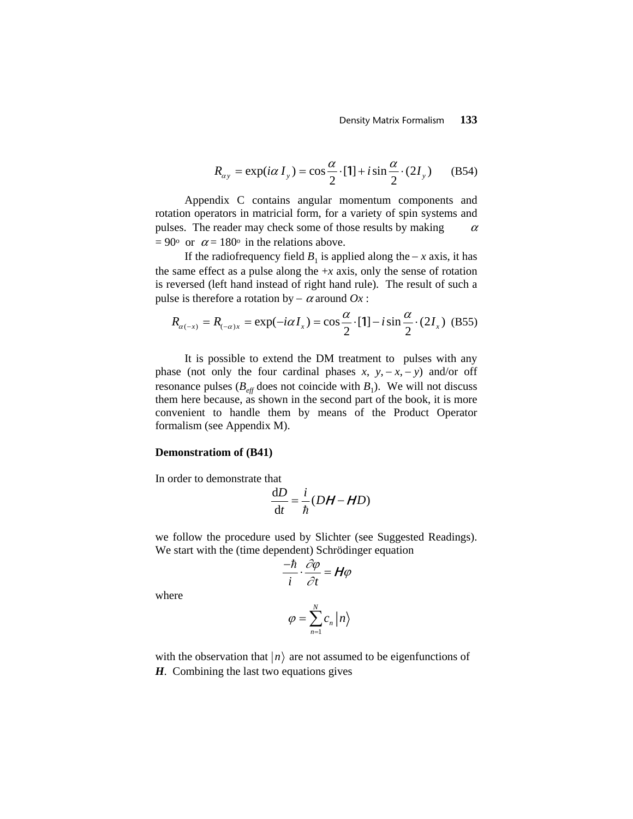$$
R_{\alpha y} = \exp(i\alpha I_y) = \cos\frac{\alpha}{2} \cdot [1] + i\sin\frac{\alpha}{2} \cdot (2I_y) \quad (B54)
$$

Appendix C contains angular momentum components and rotation operators in matricial form, for a variety of spin systems and pulses. The reader may check some of those results by making  $\alpha$  $= 90^{\circ}$  or  $\alpha = 180^{\circ}$  in the relations above.

If the radiofrequency field  $B_1$  is applied along the − *x* axis, it has the same effect as a pulse along the  $+x$  axis, only the sense of rotation is reversed (left hand instead of right hand rule). The result of such a pulse is therefore a rotation by  $-\alpha$  around  $Ox$ :

$$
R_{\alpha(-x)} = R_{(-\alpha)x} = \exp(-i\alpha I_x) = \cos\frac{\alpha}{2} \cdot [1] - i\sin\frac{\alpha}{2} \cdot (2I_x)
$$
 (B55)

It is possible to extend the DM treatment to pulses with any phase (not only the four cardinal phases  $x$ ,  $y$ ,  $-x$ ,  $-y$ ) and/or off resonance pulses ( $B_{\text{eff}}$  does not coincide with  $B_1$ ). We will not discuss them here because, as shown in the second part of the book, it is more convenient to handle them by means of the Product Operator formalism (see Appendix M).

### **Demonstratiom of (B41)**

In order to demonstrate that

$$
\frac{\mathrm{d}D}{\mathrm{d}t} = \frac{i}{\hbar}(DH - HD)
$$

we follow the procedure used by Slichter (see Suggested Readings). We start with the (time dependent) Schrödinger equation

$$
\frac{-\hbar}{i}\cdot\frac{\partial\varphi}{\partial t}=\boldsymbol{H}\varphi
$$

where

$$
\varphi = \sum_{n=1}^{N} c_n \left| n \right\rangle
$$

with the observation that  $|n\rangle$  are not assumed to be eigenfunctions of *H*. Combining the last two equations gives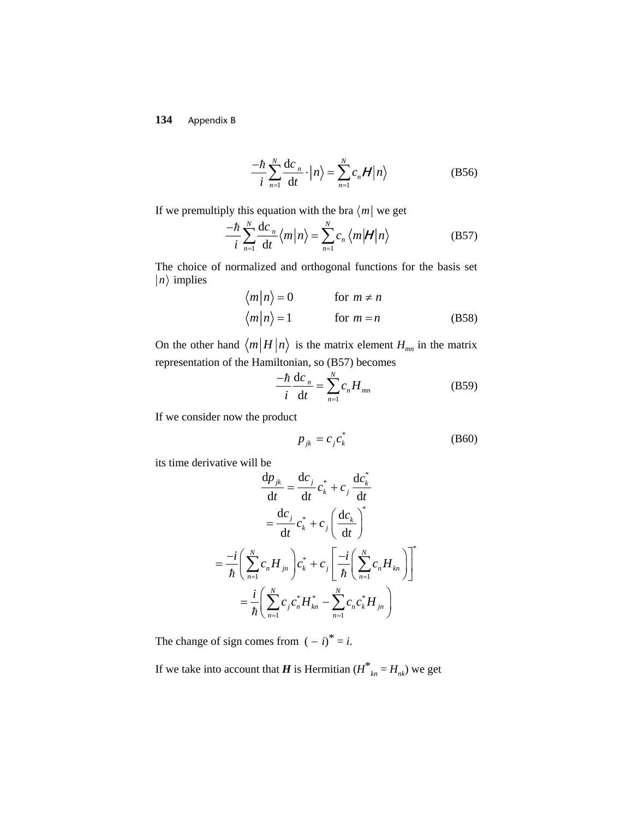$$
\frac{-\hbar}{i} \sum_{n=1}^{N} \frac{\mathrm{d}c_n}{\mathrm{d}t} \cdot \left| n \right\rangle = \sum_{n=1}^{N} c_n \mathcal{H} \left| n \right\rangle \tag{B56}
$$

If we premultiply this equation with the bra  $\langle m |$  we get

$$
\frac{-\hbar}{i} \sum_{n=1}^{N} \frac{\mathrm{d}c_n}{\mathrm{d}t} \langle m | n \rangle = \sum_{n=1}^{N} c_n \langle m | \mathcal{H} | n \rangle \tag{B57}
$$

The choice of normalized and orthogonal functions for the basis set  $|n\rangle$  implies

$$
\langle m|n\rangle = 0 \qquad \text{for } m \neq n
$$
  

$$
\langle m|n\rangle = 1 \qquad \text{for } m = n
$$
 (B58)

On the other hand  $\langle m | H | n \rangle$  is the matrix element  $H_{mn}$  in the matrix representation of the Hamiltonian, so (B57) becomes

$$
\frac{-\hbar}{i}\frac{\mathrm{d}c_n}{\mathrm{d}t} = \sum_{n=1}^{N} c_n H_{mn} \tag{B59}
$$

If we consider now the product

$$
p_{jk} = c_j c_k^* \tag{B60}
$$

its time derivative will be \*

$$
\frac{dp_{jk}}{dt} = \frac{dc_j}{dt}c_k^* + c_j \frac{dc_k^*}{dt}
$$

$$
= \frac{dc_j}{dt}c_k^* + c_j \left(\frac{dc_k}{dt}\right)^*
$$

$$
= \frac{-i}{\hbar} \left(\sum_{n=1}^N c_n H_{jn}\right) c_k^* + c_j \left[\frac{-i}{\hbar} \left(\sum_{n=1}^N c_n H_{kn}\right)\right]^*
$$

$$
= \frac{i}{\hbar} \left(\sum_{n=1}^N c_j c_n^* H_{kn}^* - \sum_{n=1}^N c_n c_k^* H_{jn}\right)
$$

The change of sign comes from  $(-i)^* = i$ .

If we take into account that *H* is Hermitian  $(H^*_{\ \ kn} = H_{nk})$  we get